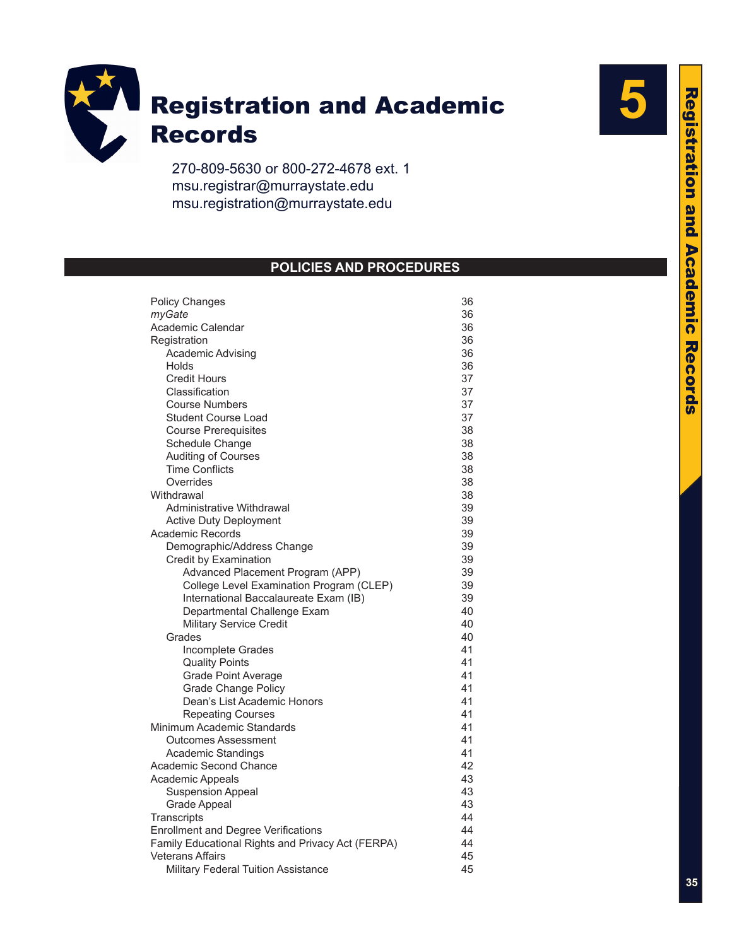

270-809-5630 or 800-272-4678 ext. 1 msu.registrar@murraystate.edu msu.registration@murraystate.edu

# **POLICIES AND PROCEDURES**

| <b>Policy Changes</b>                                                                           | 36       |  |  |
|-------------------------------------------------------------------------------------------------|----------|--|--|
| myGate                                                                                          | 36       |  |  |
| Academic Calendar                                                                               | 36       |  |  |
| Registration                                                                                    | 36       |  |  |
| Academic Advising                                                                               | 36       |  |  |
| Holds                                                                                           | 36       |  |  |
| <b>Credit Hours</b>                                                                             | 37       |  |  |
| Classification                                                                                  | 37       |  |  |
| <b>Course Numbers</b>                                                                           | 37       |  |  |
| <b>Student Course Load</b>                                                                      | 37       |  |  |
| <b>Course Prerequisites</b>                                                                     | 38       |  |  |
| Schedule Change                                                                                 | 38       |  |  |
| Auditing of Courses                                                                             | 38       |  |  |
| <b>Time Conflicts</b>                                                                           | 38       |  |  |
| Overrides                                                                                       | 38       |  |  |
| Withdrawal                                                                                      | 38       |  |  |
| Administrative Withdrawal                                                                       | 39       |  |  |
| <b>Active Duty Deployment</b>                                                                   | 39       |  |  |
| <b>Academic Records</b>                                                                         | 39       |  |  |
| Demographic/Address Change                                                                      | 39       |  |  |
| Credit by Examination                                                                           | 39       |  |  |
| Advanced Placement Program (APP)                                                                | 39       |  |  |
| College Level Examination Program (CLEP)                                                        | 39       |  |  |
| International Baccalaureate Exam (IB)                                                           | 39       |  |  |
| Departmental Challenge Exam                                                                     | 40       |  |  |
| <b>Military Service Credit</b>                                                                  | 40       |  |  |
| Grades                                                                                          | 40       |  |  |
| Incomplete Grades                                                                               | 41       |  |  |
| <b>Quality Points</b>                                                                           | 41       |  |  |
| Grade Point Average                                                                             | 41       |  |  |
| <b>Grade Change Policy</b>                                                                      | 41       |  |  |
| Dean's List Academic Honors                                                                     | 41       |  |  |
| <b>Repeating Courses</b>                                                                        | 41       |  |  |
| Minimum Academic Standards                                                                      | 41       |  |  |
| <b>Outcomes Assessment</b>                                                                      | 41       |  |  |
| <b>Academic Standings</b>                                                                       | 41<br>42 |  |  |
| Academic Second Chance                                                                          | 43       |  |  |
| Academic Appeals                                                                                | 43       |  |  |
| <b>Suspension Appeal</b>                                                                        | 43       |  |  |
| <b>Grade Appeal</b>                                                                             | 44       |  |  |
| Transcripts                                                                                     | 44       |  |  |
| <b>Enrollment and Degree Verifications</b><br>Family Educational Rights and Privacy Act (FERPA) |          |  |  |
| <b>Veterans Affairs</b>                                                                         | 44<br>45 |  |  |
|                                                                                                 | 45       |  |  |
| Military Federal Tuition Assistance                                                             |          |  |  |

**5**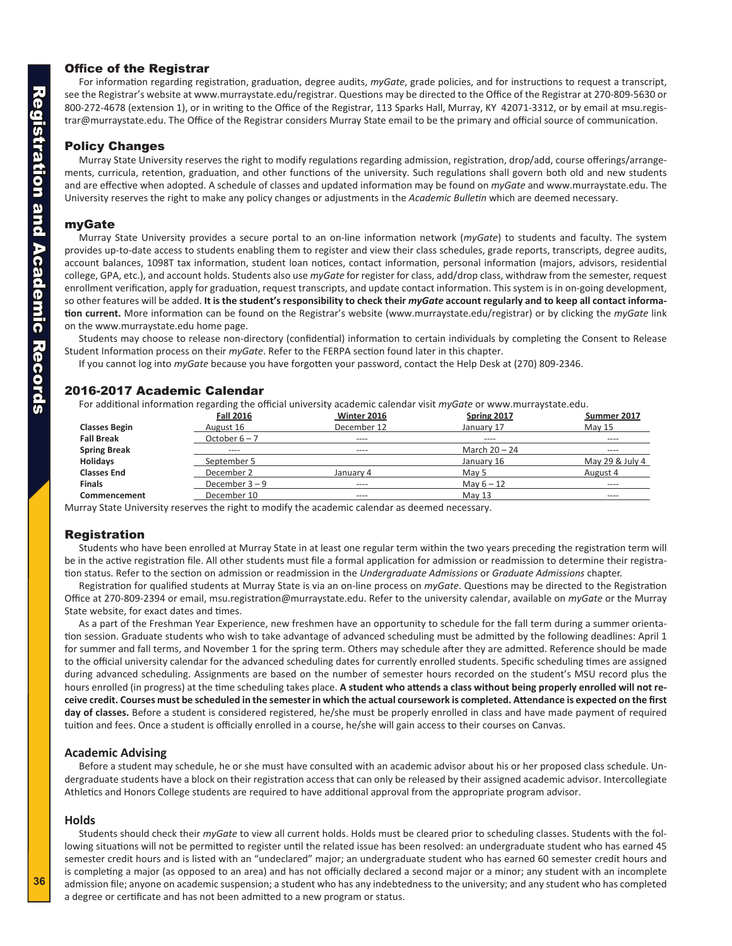# <span id="page-1-0"></span>Office of the Registrar

For information regarding registration, graduation, degree audits, *myGate*, grade policies, and for instructions to request a transcript, see the Registrar's website at www.murraystate.edu/registrar. Questions may be directed to the Office of the Registrar at 270-809-5630 or 800-272-4678 (extension 1), or in writing to the Office of the Registrar, 113 Sparks Hall, Murray, KY 42071-3312, or by email at msu.regis trar@murraystate.edu. The Office of the Registrar considers Murray State email to be the primary and official source of communication.

# Policy Changes

Murray State University reserves the right to modify regulations regarding admission, registration, drop/add, course offerings/arrange ments, curricula, retention, graduation, and other functions of the university. Such regulations shall govern both old and new students and are effective when adopted. A schedule of classes and updated information may be found on *myGate* and www.murraystate.edu. The University reserves the right to make any policy changes or adjustments in the *Academic Bulletin* which are deemed necessary.

# myGate

Murray State University provides a secure portal to an on-line information network (*myGate*) to students and faculty. The system provides up-to-date access to students enabling them to register and view their class schedules, grade reports, transcripts, degree audits, account balances, 1098T tax information, student loan notices, contact information, personal information (majors, advisors, residential college, GPA, etc.), and account holds. Students also use *myGate* for register for class, add/drop class, withdraw from the semester, request enrollment verification, apply for graduation, request transcripts, and update contact information. This system is in on-going development, so other features will be added. **It is the student's responsibility to check their** *myGate* **account regularly and to keep all contact informa tion current.** More information can be found on the Registrar's website (www.murraystate.edu/registrar) or by clicking the *myGate* link on the www.murraystate.edu home page.

Students may choose to release non-directory (confidential) information to certain individuals by completing the Consent to Release Student Information process on their *myGate*. Refer to the FERPA section found later in this chapter.

If you cannot log into *myGate* because you have forgotten your password, contact the Help Desk at (270) 809-2346.

# 2016-2017 Academic Calendar

For additional information regarding the official university academic calendar visit *myGate* or www.murraystate.edu.

| <b>Fall 2016</b>         | Spring 2017     | Summer 2017                                    |
|--------------------------|-----------------|------------------------------------------------|
| August 16                | January 17      | <b>May 15</b>                                  |
| October $6 - 7$<br>$---$ | $---$           | $\cdots$                                       |
| $---$<br>$---$           | March $20 - 24$ | $- - - -$                                      |
| September 5              | January 16      | May 29 & July 4                                |
| December 2               | May 5           | August 4                                       |
| December $3 - 9$<br>---- | May $6 - 12$    | ----                                           |
| December 10<br>----      | May 13          | $- - - -$                                      |
|                          |                 | <b>Winter 2016</b><br>December 12<br>January 4 |

Murray State University reserves the right to modify the academic calendar as deemed necessary.

# Registration

Students who have been enrolled at Murray State in at least one regular term within the two years preceding the registration term will be in the active registration file. All other students must file a formal application for admission or readmission to determine their registra tion status. Refer to the section on admission or readmission in the *Undergraduate Admissions* or *Graduate Admissions* chapter.

Registration for qualified students at Murray State is via an on-line process on *myGate*. Questions may be directed to the Registration Office at 270-809-2394 or email, msu.registration@murraystate.edu. Refer to the university calendar, available on *myGate* or the Murray State website, for exact dates and times.

As a part of the Freshman Year Experience, new freshmen have an opportunity to schedule for the fall term during a summer orienta tion session. Graduate students who wish to take advantage of advanced scheduling must be admitted by the following deadlines: April 1 for summer and fall terms, and November 1 for the spring term. Others may schedule after they are admitted. Reference should be made to the official university calendar for the advanced scheduling dates for currently enrolled students. Specific scheduling times are assigned during advanced scheduling. Assignments are based on the number of semester hours recorded on the student's MSU record plus the hours enrolled (in progress) at the time scheduling takes place. **A student who attends a class without being properly enrolled will not re ceive credit. Courses must be scheduled in the semester in which the actual coursework is completed. Attendance is expected on the first day of classes.** Before a student is considered registered, he/she must be properly enrolled in class and have made payment of required tuition and fees. Once a student is officially enrolled in a course, he/she will gain access to their courses on Canvas.

# **Academic Advising**

Before a student may schedule, he or she must have consulted with an academic advisor about his or her proposed class schedule. Un dergraduate students have a block on their registration access that can only be released by their assigned academic advisor. Intercollegiate Athletics and Honors College students are required to have additional approval from the appropriate program advisor.

# **Holds**

Students should check their *myGate* to view all current holds. Holds must be cleared prior to scheduling classes. Students with the fol lowing situations will not be permitted to register until the related issue has been resolved: an undergraduate student who has earned 45 semester credit hours and is listed with an "undeclared" major; an undergraduate student who has earned 60 semester credit hours and is completing a major (as opposed to an area) and has not officially declared a second major or a minor; any student with an incomplete admission file; anyone on academic suspension; a student who has any indebtedness to the university; and any student who has completed a degree or certificate and has not been admitted to a new program or status.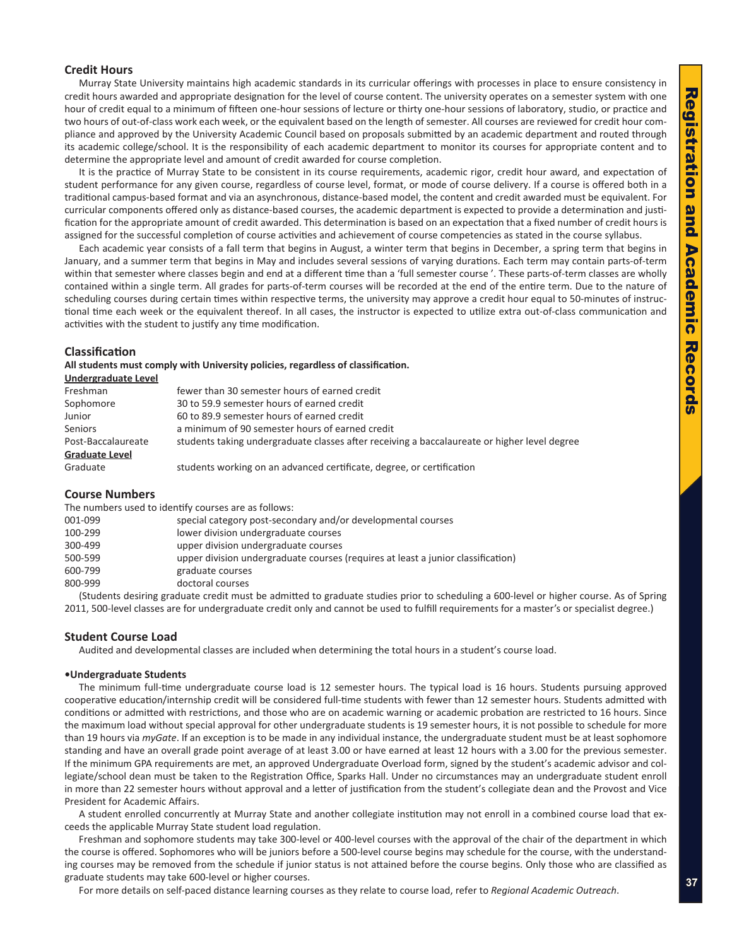# <span id="page-2-0"></span>**Credit Hours**

Murray State University maintains high academic standards in its curricular offerings with processes in place to ensure consistency in credit hours awarded and appropriate designation for the level of course content. The university operates on a semester system with one hour of credit equal to a minimum of fifteen one-hour sessions of lecture or thirty one-hour sessions of laboratory, studio, or practice and two hours of out-of-class work each week, or the equivalent based on the length of semester. All courses are reviewed for credit hour com pliance and approved by the University Academic Council based on proposals submitted by an academic department and routed through its academic college/school. It is the responsibility of each academic department to monitor its courses for appropriate content and to determine the appropriate level and amount of credit awarded for course completion.

It is the practice of Murray State to be consistent in its course requirements, academic rigor, credit hour award, and expectation of student performance for any given course, regardless of course level, format, or mode of course delivery. If a course is offered both in a traditional campus-based format and via an asynchronous, distance-based model, the content and credit awarded must be equivalent. For curricular components offered only as distance-based courses, the academic department is expected to provide a determination and justi fication for the appropriate amount of credit awarded. This determination is based on an expectation that a fixed number of credit hours is assigned for the successful completion of course activities and achievement of course competencies as stated in the course syllabus.

Each academic year consists of a fall term that begins in August, a winter term that begins in December, a spring term that begins in January, and a summer term that begins in May and includes several sessions of varying durations. Each term may contain parts-of-term within that semester where classes begin and end at a different time than a 'full semester course '. These parts-of-term classes are wholly contained within a single term. All grades for parts-of-term courses will be recorded at the end of the entire term. Due to the nature of scheduling courses during certain times within respective terms, the university may approve a credit hour equal to 50-minutes of instruc tional time each week or the equivalent thereof. In all cases, the instructor is expected to utilize extra out-of-class communication and activities with the student to justify any time modification.

# **Classification**

**All students must comply with University policies, regardless of classification.** 

| Undergraduate Level   |                                                                                              |
|-----------------------|----------------------------------------------------------------------------------------------|
| Freshman              | fewer than 30 semester hours of earned credit                                                |
| Sophomore             | 30 to 59.9 semester hours of earned credit                                                   |
| Junior                | 60 to 89.9 semester hours of earned credit                                                   |
| <b>Seniors</b>        | a minimum of 90 semester hours of earned credit                                              |
| Post-Baccalaureate    | students taking undergraduate classes after receiving a baccalaureate or higher level degree |
| <b>Graduate Level</b> |                                                                                              |
| Graduate              | students working on an advanced certificate, degree, or certification                        |

### **Course Numbers**

The numbers used to identify courses are as follows:

| 001-099 | special category post-secondary and/or developmental courses                     |
|---------|----------------------------------------------------------------------------------|
| 100-299 | lower division undergraduate courses                                             |
| 300-499 | upper division undergraduate courses                                             |
| 500-599 | upper division undergraduate courses (requires at least a junior classification) |
| 600-799 | graduate courses                                                                 |
| 800-999 | doctoral courses                                                                 |
|         |                                                                                  |

(Students desiring graduate credit must be admitted to graduate studies prior to scheduling a 600-level or higher course. As of Spring 2011, 500-level classes are for undergraduate credit only and cannot be used to fulfill requirements for a master's or specialist degree.)

# **Student Course Load**

Audited and developmental classes are included when determining the total hours in a student's course load.

#### **•Undergraduate Students**

The minimum full-time undergraduate course load is 12 semester hours. The typical load is 16 hours. Students pursuing approved cooperative education/internship credit will be considered full-time students with fewer than 12 semester hours. Students admitted with conditions or admitted with restrictions, and those who are on academic warning or academic probation are restricted to 16 hours. Since the maximum load without special approval for other undergraduate students is 19 semester hours, it is not possible to schedule for more than 19 hours via *myGate*. If an exception is to be made in any individual instance, the undergraduate student must be at least sophomore standing and have an overall grade point average of at least 3.00 or have earned at least 12 hours with a 3.00 for the previous semester. If the minimum GPA requirements are met, an approved Undergraduate Overload form, signed by the student's academic advisor and col legiate/school dean must be taken to the Registration Office, Sparks Hall. Under no circumstances may an undergraduate student enroll in more than 22 semester hours without approval and a letter of justification from the student's collegiate dean and the Provost and Vice President for Academic Affairs.

A student enrolled concurrently at Murray State and another collegiate institution may not enroll in a combined course load that ex ceeds the applicable Murray State student load regulation.

Freshman and sophomore students may take 300-level or 400-level courses with the approval of the chair of the department in which the course is offered. Sophomores who will be juniors before a 500-level course begins may schedule for the course, with the understand ing courses may be removed from the schedule if junior status is not attained before the course begins. Only those who are classified as graduate students may take 600-level or higher courses.

For more details on self-paced distance learning courses as they relate to course load, refer to *Regional Academic Outreach* .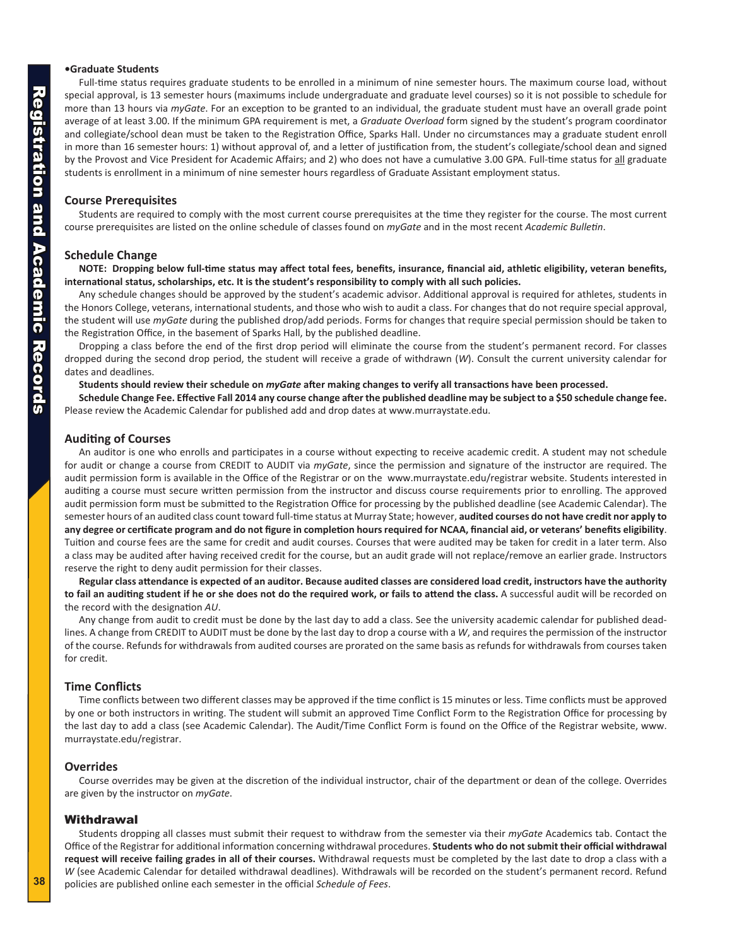# <span id="page-3-0"></span>**•Graduate Students**

Full-time status requires graduate students to be enrolled in a minimum of nine semester hours. The maximum course load, without special approval, is 13 semester hours (maximums include undergraduate and graduate level courses) so it is not possible to schedule for more than 13 hours via *myGate*. For an exception to be granted to an individual, the graduate student must have an overall grade point average of at least 3.00. If the minimum GPA requirement is met, a *Graduate Overload* form signed by the student's program coordinator and collegiate/school dean must be taken to the Registration Office, Sparks Hall. Under no circumstances may a graduate student enroll in more than 16 semester hours: 1) without approval of, and a letter of justification from, the student's collegiate/school dean and signed by the Provost and Vice President for Academic Affairs; and 2) who does not have a cumulative 3.00 GPA. Full-time status for all graduate students is enrollment in a minimum of nine semester hours regardless of Graduate Assistant employment status.

# **Course Prerequisites**

Students are required to comply with the most current course prerequisites at the time they register for the course. The most current course prerequisites are listed on the online schedule of classes found on *myGate* and in the most recent *Academic Bulletin* .

# **Schedule Change**

**NOTE: Dropping below full-time status may affect total fees, benefits, insurance, financial aid, athletic eligibility, veteran benefits, international status, scholarships, etc. It is the student's responsibility to comply with all such policies.**

Any schedule changes should be approved by the student's academic advisor. Additional approval is required for athletes, students in the Honors College, veterans, international students, and those who wish to audit a class. For changes that do not require special approval, the student will use *myGate* during the published drop/add periods. Forms for changes that require special permission should be taken to the Registration Office, in the basement of Sparks Hall, by the published deadline.

Dropping a class before the end of the first drop period will eliminate the course from the student's permanent record. For classes dropped during the second drop period, the student will receive a grade of withdrawn ( *W*). Consult the current university calendar for dates and deadlines.

**Students should review their schedule on** *myGate* **after making changes to verify all transactions have been processed.** 

**Schedule Change Fee. Effective Fall 2014 any course change after the published deadline may be subject to a \$50 schedule change fee.** Please review the Academic Calendar for published add and drop dates at www.murraystate.edu.

# **Auditing of Courses**

An auditor is one who enrolls and participates in a course without expecting to receive academic credit. A student may not schedule for audit or change a course from CREDIT to AUDIT via *myGate*, since the permission and signature of the instructor are required. The audit permission form is available in the Office of the Registrar or on the www.murraystate.edu/registrar website. Students interested in auditing a course must secure written permission from the instructor and discuss course requirements prior to enrolling. The approved audit permission form must be submitted to the Registration Office for processing by the published deadline (see Academic Calendar). The semester hours of an audited class count toward full-time status at Murray State; however, **audited courses do not have credit nor apply to any degree or certificate program and do not figure in completion hours required for NCAA, financial aid, or veterans' benefits eligibility**. Tuition and course fees are the same for credit and audit courses. Courses that were audited may be taken for credit in a later term. Also a class may be audited after having received credit for the course, but an audit grade will not replace/remove an earlier grade. Instructors reserve the right to deny audit permission for their classes.

**Regular class attendance is expected of an auditor. Because audited classes are considered load credit, instructors have the authority to fail an auditing student if he or she does not do the required work, or fails to attend the class.** A successful audit will be recorded on the record with the designation *AU* .

Any change from audit to credit must be done by the last day to add a class. See the university academic calendar for published dead lines. A change from CREDIT to AUDIT must be done by the last day to drop a course with a *W*, and requires the permission of the instructor of the course. Refunds for withdrawals from audited courses are prorated on the same basis as refunds for withdrawals from courses taken for credit.

# **Time Conflicts**

Time conflicts between two different classes may be approved if the time conflict is 15 minutes or less. Time conflicts must be approved by one or both instructors in writing. The student will submit an approved Time Conflict Form to the Registration Office for processing by the last day to add a class (see Academic Calendar). The Audit/Time Conflict Form is found on the Office of the Registrar website, www. murraystate.edu/registrar.

# **Overrides**

Course overrides may be given at the discretion of the individual instructor, chair of the department or dean of the college. Overrides are given by the instructor on *myGate* .

# **Withdrawal**

Students dropping all classes must submit their request to withdraw from the semester via their *myGate* Academics tab. Contact the Office of the Registrar for additional information concerning withdrawal procedures. **Students who do not submit their official withdrawal request will receive failing grades in all of their courses.** Withdrawal requests must be completed by the last date to drop a class with a *W* (see Academic Calendar for detailed withdrawal deadlines). Withdrawals will be recorded on the student's permanent record. Refund policies are published online each semester in the official *Schedule of Fees*.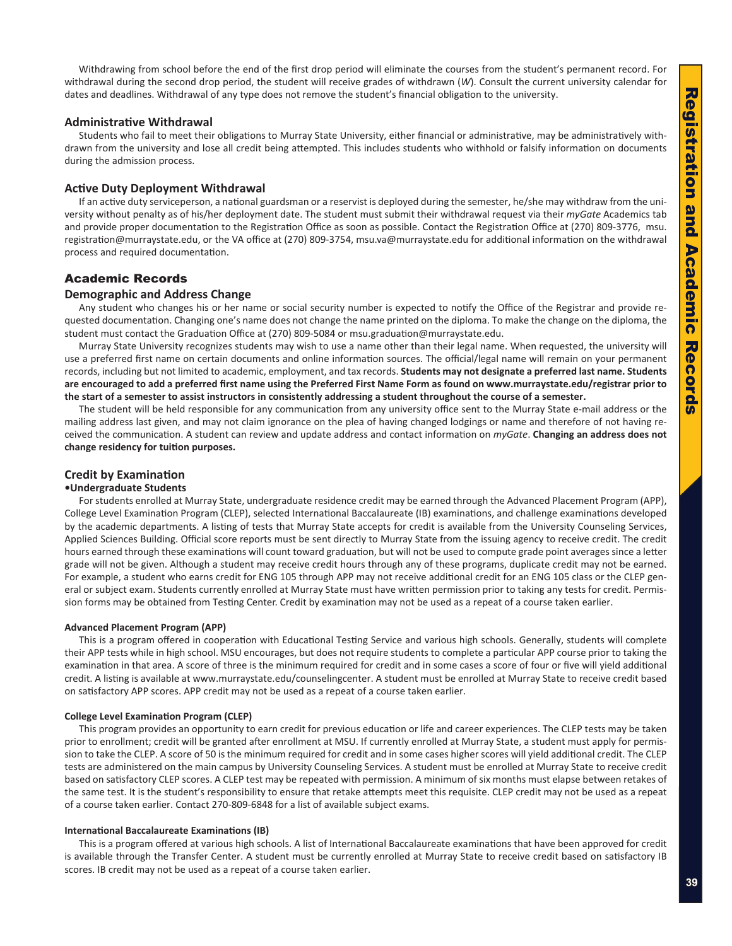<span id="page-4-0"></span>Withdrawing from school before the end of the first drop period will eliminate the courses from the student's permanent record. For withdrawal during the second drop period, the student will receive grades of withdrawn ( *W*). Consult the current university calendar for dates and deadlines. Withdrawal of any type does not remove the student's financial obligation to the university.

# **Administrative Withdrawal**

Students who fail to meet their obligations to Murray State University, either financial or administrative, may be administratively with drawn from the university and lose all credit being attempted. This includes students who withhold or falsify information on documents during the admission process.

# **Active Duty Deployment Withdrawal**

If an active duty serviceperson, a national guardsman or a reservist is deployed during the semester, he/she may withdraw from the uni versity without penalty as of his/her deployment date. The student must submit their withdrawal request via their *myGate* Academics tab and provide proper documentation to the Registration Office as soon as possible. Contact the Registration Office at (270) 809-3776, msu. registration@murraystate.edu, or the VA office at (270) 809-3754, msu.va@murraystate.edu for additional information on the withdrawal process and required documentation.

# Academic Records

# **Demographic and Address Change**

Any student who changes his or her name or social security number is expected to notify the Office of the Registrar and provide re quested documentation. Changing one's name does not change the name printed on the diploma. To make the change on the diploma, the student must contact the Graduation Office at (270) 809-5084 or msu.graduation@murraystate.edu.

Murray State University recognizes students may wish to use a name other than their legal name. When requested, the university will use a preferred first name on certain documents and online information sources. The official/legal name will remain on your permanent records, including but not limited to academic, employment, and tax records. **Students may not designate a preferred last name. Students are encouraged to add a preferred first name using the Preferred First Name Form as found on www.murraystate.edu/registrar prior to the start of a semester to assist instructors in consistently addressing a student throughout the course of a semester.** 

The student will be held responsible for any communication from any university office sent to the Murray State e-mail address or the mailing address last given, and may not claim ignorance on the plea of having changed lodgings or name and therefore of not having re ceived the communication. A student can review and update address and contact information on *myGate*. **Changing an address does not change residency for tuition purposes.**

# **Credit by Examination**

# **•Undergraduate Students**

For students enrolled at Murray State, undergraduate residence credit may be earned through the Advanced Placement Program (APP), College Level Examination Program (CLEP), selected International Baccalaureate (IB) examinations, and challenge examinations developed by the academic departments. A listing of tests that Murray State accepts for credit is available from the University Counseling Services, Applied Sciences Building. Official score reports must be sent directly to Murray State from the issuing agency to receive credit. The credit hours earned through these examinations will count toward graduation, but will not be used to compute grade point averages since a letter grade will not be given. Although a student may receive credit hours through any of these programs, duplicate credit may not be earned. For example, a student who earns credit for ENG 105 through APP may not receive additional credit for an ENG 105 class or the CLEP general or subject exam. Students currently enrolled at Murray State must have written permission prior to taking any tests for credit. Permis sion forms may be obtained from Testing Center. Credit by examination may not be used as a repeat of a course taken earlier.

### **Advanced Placement Program (APP)**

This is a program offered in cooperation with Educational Testing Service and various high schools. Generally, students will complete their APP tests while in high school. MSU encourages, but does not require students to complete a particular APP course prior to taking the examination in that area. A score of three is the minimum required for credit and in some cases a score of four or five will yield additional credit. A listing is available at www.murraystate.edu/counselingcenter. A student must be enrolled at Murray State to receive credit based on satisfactory APP scores. APP credit may not be used as a repeat of a course taken earlier.

#### **College Level Examination Program (CLEP)**

This program provides an opportunity to earn credit for previous education or life and career experiences. The CLEP tests may be taken prior to enrollment; credit will be granted after enrollment at MSU. If currently enrolled at Murray State, a student must apply for permis sion to take the CLEP. A score of 50 is the minimum required for credit and in some cases higher scores will yield additional credit. The CLEP tests are administered on the main campus by University Counseling Services. A student must be enrolled at Murray State to receive credit based on satisfactory CLEP scores. A CLEP test may be repeated with permission. A minimum of six months must elapse between retakes of the same test. It is the student's responsibility to ensure that retake attempts meet this requisite. CLEP credit may not be used as a repeat of a course taken earlier. Contact 270-809-6848 for a list of available subject exams.

#### **International Baccalaureate Examinations (IB)**

This is a program offered at various high schools. A list of International Baccalaureate examinations that have been approved for credit is available through the Transfer Center. A student must be currently enrolled at Murray State to receive credit based on satisfactory IB scores. IB credit may not be used as a repeat of a course taken earlier.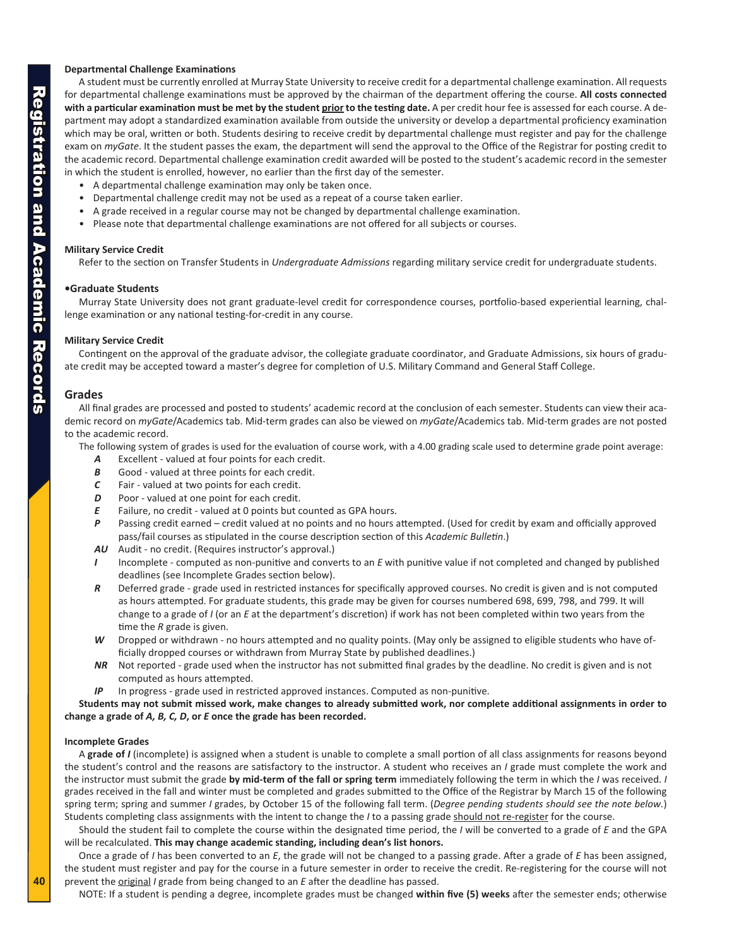# <span id="page-5-0"></span>**Departmental Challenge Examinations**

A student must be currently enrolled at Murray State University to receive credit for a departmental challenge examination. All requests for departmental challenge examinations must be approved by the chairman of the department offering the course. **All costs connected**  with a particular examination must be met by the student prior to the testing date. A per credit hour fee is assessed for each course. A department may adopt a standardized examination available from outside the university or develop a departmental proficiency examination which may be oral, written or both. Students desiring to receive credit by departmental challenge must register and pay for the challenge exam on *myGate*. It the student passes the exam, the department will send the approval to the Office of the Registrar for posting credit to the academic record. Departmental challenge examination credit awarded will be posted to the student's academic record in the semester

- 
- 
- in which the student is enrolled, however, no earlier than the first day of the semester.<br>
A departmental challenge examination may only be taken once.<br>
Departmental challenge credit may not be used as a repeat of a co
	-

# **Military Service Credit**

Refer to the section on Transfer Students in *Undergraduate Admissions* regarding military service credit for undergraduate students.

# **•Graduate Students**

Murray State University does not grant graduate-level credit for correspondence courses, portfolio-based experiential learning, chal lenge examination or any national testing-for-credit in any course.

### **Military Service Credit**

Contingent on the approval of the graduate advisor, the collegiate graduate coordinator, and Graduate Admissions, six hours of gradu ate credit may be accepted toward a master's degree for completion of U.S. Military Command and General Staff College.

# **Grades**

All final grades are processed and posted to students' academic record at the conclusion of each semester. Students can view their aca demic record on *myGate*/Academics tab. Mid-term grades can also be viewed on *myGate*/Academics tab. Mid-term grades are not posted to the academic record.

The following system of grades is used for the evaluation of course work, with a 4.00 grading scale used to determine grade point average:

- *A* Excellent valued at four points for each credit.
- **B** Good valued at three points for each credit.
- *C* Fair valued at two points for each credit.
- *D* Poor valued at one point for each credit.
- *E* Failure, no credit valued at 0 points but counted as GPA hours.
- *P* Passing credit earned credit valued at no points and no hours attempted. (Used for credit by exam and officially approved pass/fail courses as stipulated in the course description section of this *Academic Bulletin*.)
- *AU* Audit no credit. (Requires instructor's approval.)
- I Incomplete computed as non-punitive and converts to an E with punitive value if not completed and changed by published deadlines (see Incomplete Grades section below).
- *R* Deferred grade grade used in restricted instances for specifically approved courses. No credit is given and is not computed as hours attempted. For graduate students, this grade may be given for courses numbered 698, 699, 798, and 799. It will change to a grade of *I* (or an *E* at the department's discretion) if work has not been completed within two years from the time the *R* grade is given.
- W Dropped or withdrawn no hours attempted and no quality points. (May only be assigned to eligible students who have officially dropped courses or withdrawn from Murray State by published deadlines.)
- *NR* Not reported grade used when the instructor has not submitted final grades by the deadline. No credit is given and is not computed as hours attempted.
- *IP* In progress grade used in restricted approved instances. Computed as non-punitive.

**Students may not submit missed work, make changes to already submitted work, nor complete additional assignments in order to change a grade of** *A, B, C, D***, or**  *E* **once the grade has been recorded.**

### **Incomplete Grades**

A **grade of**  *I* (incomplete) is assigned when a student is unable to complete a small portion of all class assignments for reasons beyond the student's control and the reasons are satisfactory to the instructor. A student who receives an *I* grade must complete the work and the instructor must submit the grade **by mid-term of the fall or spring term** immediately following the term in which the *I* was received. *I* grades received in the fall and winter must be completed and grades submitted to the Office of the Registrar by March 15 of the following spring term; spring and summer *I* grades, by October 15 of the following fall term. (*Degree pending students should see the note below.*) Students completing class assignments with the intent to change the *I* to a passing grade should not re-register for the course.

Should the student fail to complete the course within the designated time period, the *I* will be converted to a grade of *E* and the GPA will be recalculated. **This may change academic standing, including dean's list honors.**

Once a grade of *I* has been converted to an E, the grade will not be changed to a passing grade. After a grade of E has been assigned, the student must register and pay for the course in a future semester in order to receive the credit. Re-registering for the course will not prevent the **original** I grade from being changed to an E after the deadline has passed.

NOTE: If a student is pending a degree, incomplete grades must be changed **within five (5) weeks** after the semester ends; otherwise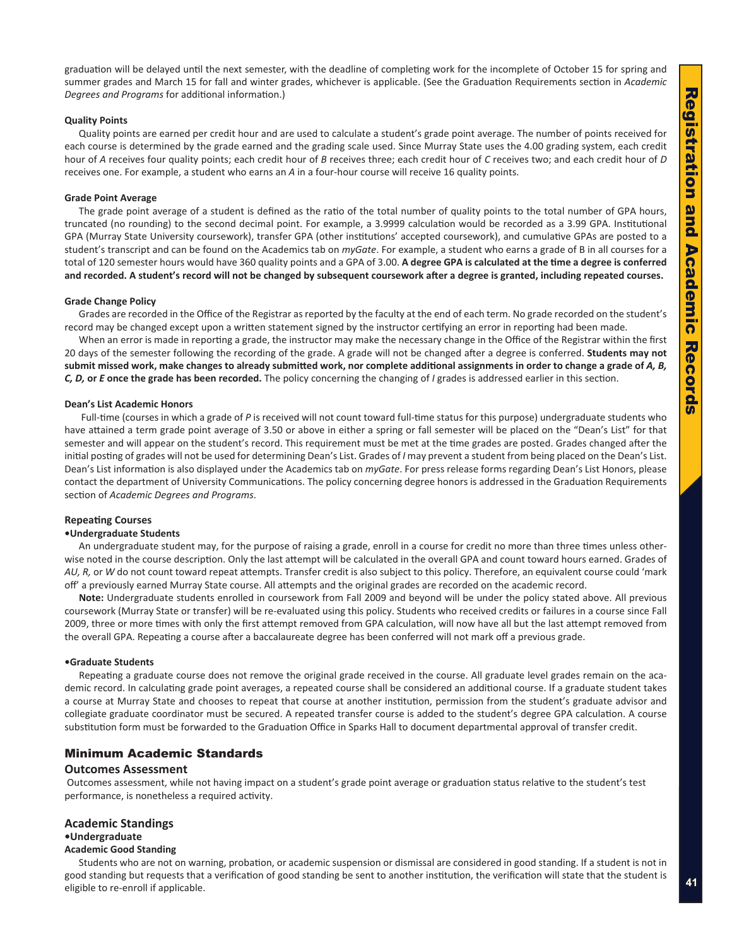<span id="page-6-0"></span>graduation will be delayed until the next semester, with the deadline of completing work for the incomplete of October 15 for spring and summer grades and March 15 for fall and winter grades, whichever is applicable. (See the Graduation Requirements section in *Academic Degrees and Programs* for additional information.)

#### **Quality Points**

Quality points are earned per credit hour and are used to calculate a student's grade point average. The number of points received for each course is determined by the grade earned and the grading scale used. Since Murray State uses the 4.00 grading system, each credit hour of A receives four quality points; each credit hour of B receives three; each credit hour of C receives two; and each credit hour of D receives one. For example, a student who earns an *A* in a four-hour course will receive 16 quality points.

#### **Grade Point Average**

The grade point average of a student is defined as the ratio of the total number of quality points to the total number of GPA hours, truncated (no rounding) to the second decimal point. For example, a 3.9999 calculation would be recorded as a 3.99 GPA. Institutional GPA (Murray State University coursework), transfer GPA (other institutions' accepted coursework), and cumulative GPAs are posted to a student's transcript and can be found on the Academics tab on *myGate*. For example, a student who earns a grade of B in all courses for a total of 120 semester hours would have 360 quality points and a GPA of 3.00. **A degree GPA is calculated at the time a degree is conferred and recorded. A student's record will not be changed by subsequent coursework after a degree is granted, including repeated courses.**

#### **Grade Change Policy**

Grades are recorded in the Office of the Registrar as reported by the faculty at the end of each term. No grade recorded on the student's record may be changed except upon a written statement signed by the instructor certifying an error in reporting had been made.

When an error is made in reporting a grade, the instructor may make the necessary change in the Office of the Registrar within the first 20 days of the semester following the recording of the grade. A grade will not be changed after a degree is conferred. **Students may not**  submit missed work, make changes to already submitted work, nor complete additional assignments in order to change a grade of *A*, *B*, *C, D,* **or**  *E* **once the grade has been recorded.** The policy concerning the changing of *I* grades is addressed earlier in this section.

#### **Dean's List Academic Honors**

Full-time (courses in which a grade of P is received will not count toward full-time status for this purpose) undergraduate students who have attained a term grade point average of 3.50 or above in either a spring or fall semester will be placed on the "Dean's List" for that semester and will appear on the student's record. This requirement must be met at the time grades are posted. Grades changed after the initial posting of grades will not be used for determining Dean's List. Grades of *I* may prevent a student from being placed on the Dean's List. Dean's List information is also displayed under the Academics tab on *myGate*. For press release forms regarding Dean's List Honors, please contact the department of University Communications. The policy concerning degree honors is addressed in the Graduation Requirements section of *Academic Degrees and Programs* .

### **Repeating Courses**

#### **•Undergraduate Students**

An undergraduate student may, for the purpose of raising a grade, enroll in a course for credit no more than three times unless other wise noted in the course description. Only the last attempt will be calculated in the overall GPA and count toward hours earned. Grades of *AU, R,* or *W* do not count toward repeat attempts. Transfer credit is also subject to this policy. Therefore, an equivalent course could 'mark off' a previously earned Murray State course. All attempts and the original grades are recorded on the academic record.

**Note:** Undergraduate students enrolled in coursework from Fall 2009 and beyond will be under the policy stated above. All previous coursework (Murray State or transfer) will be re-evaluated using this policy. Students who received credits or failures in a course since Fall 2009, three or more times with only the first attempt removed from GPA calculation, will now have all but the last attempt removed from the overall GPA. Repeating a course after a baccalaureate degree has been conferred will not mark off a previous grade.

#### **•Graduate Students**

Repeating a graduate course does not remove the original grade received in the course. All graduate level grades remain on the aca demic record. In calculating grade point averages, a repeated course shall be considered an additional course. If a graduate student takes a course at Murray State and chooses to repeat that course at another institution, permission from the student's graduate advisor and collegiate graduate coordinator must be secured. A repeated transfer course is added to the student's degree GPA calculation. A course substitution form must be forwarded to the Graduation Office in Sparks Hall to document departmental approval of transfer credit.

# Minimum Academic Standards

### **Outcomes Assessment**

 Outcomes assessment, while not having impact on a student's grade point average or graduation status relative to the student's test performance, is nonetheless a required activity.

#### **Academic Standings**

### **•Undergraduate**

### **Academic Good Standing**

Students who are not on warning, probation, or academic suspension or dismissal are considered in good standing. If a student is not in good standing but requests that a verification of good standing be sent to another institution, the verification will state that the student is eligible to re-enroll if applicable.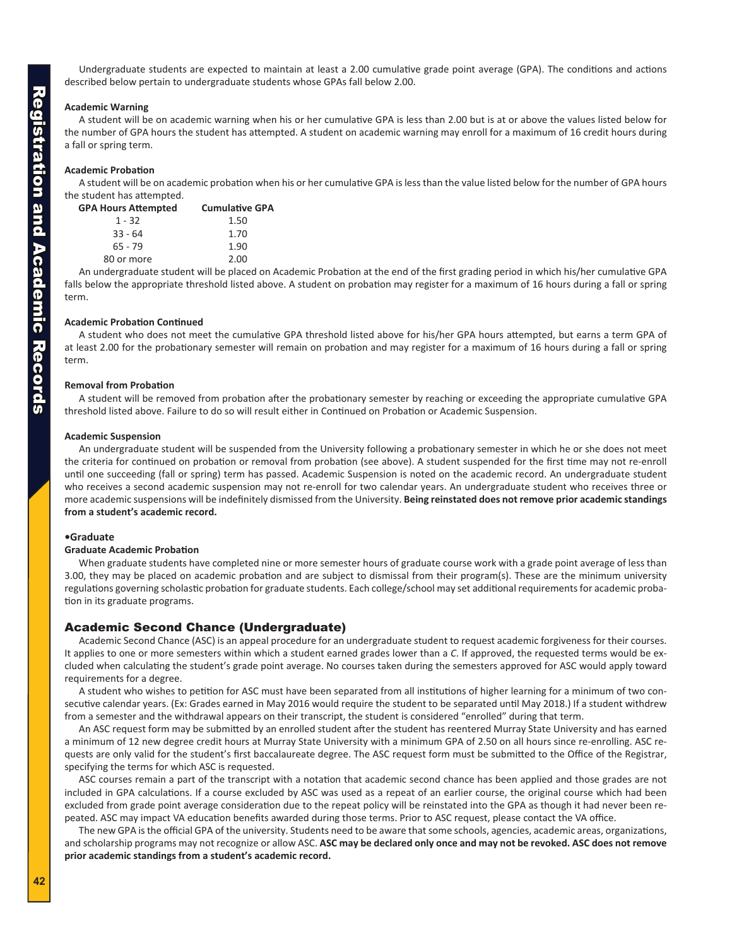<span id="page-7-0"></span>Undergraduate students are expected to maintain at least a 2.00 cumulative grade point average (GPA). The conditions and actions described below pertain to undergraduate students whose GPAs fall below 2.00.

# **Academic Warning**

A student will be on academic warning when his or her cumulative GPA is less than 2.00 but is at or above the values listed below for the number of GPA hours the student has attempted. A student on academic warning may enroll for a maximum of 16 credit hours during a fall or spring term.

# **Academic Probation**

A student will be on academic probation when his or her cumulative GPA is less than the value listed below for the number of GPA hours the student has attempted.

| <b>GPA Hours Attempted</b> | <b>Cumulative GPA</b> |
|----------------------------|-----------------------|
| $1 - 32$                   | 1.50                  |
| $33 - 64$                  | 1.70                  |
| $65 - 79$                  | 1.90                  |
| 80 or more                 | 2.00                  |

An undergraduate student will be placed on Academic Probation at the end of the first grading period in which his/her cumulative GPA falls below the appropriate threshold listed above. A student on probation may register for a maximum of 16 hours during a fall or spring term.

### **Academic Probation Continued**

A student who does not meet the cumulative GPA threshold listed above for his/her GPA hours attempted, but earns a term GPA of at least 2.00 for the probationary semester will remain on probation and may register for a maximum of 16 hours during a fall or spring term.

#### **Removal from Probation**

A student will be removed from probation after the probationary semester by reaching or exceeding the appropriate cumulative GPA threshold listed above. Failure to do so will result either in Continued on Probation or Academic Suspension.

#### **Academic Suspension**

An undergraduate student will be suspended from the University following a probationary semester in which he or she does not meet the criteria for continued on probation or removal from probation (see above). A student suspended for the first time may not re-enroll until one succeeding (fall or spring) term has passed. Academic Suspension is noted on the academic record. An undergraduate student who receives a second academic suspension may not re-enroll for two calendar years. An undergraduate student who receives three or more academic suspensions will be indefinitely dismissed from the University. **Being reinstated does not remove prior academic standings from a student's academic record.**

### **•Graduate**

#### **Graduate Academic Probation**

When graduate students have completed nine or more semester hours of graduate course work with a grade point average of less than 3.00, they may be placed on academic probation and are subject to dismissal from their program(s). These are the minimum university regulations governing scholastic probation for graduate students. Each college/school may set additional requirements for academic proba tion in its graduate programs.

# Academic Second Chance (Undergraduate)

Academic Second Chance (ASC) is an appeal procedure for an undergraduate student to request academic forgiveness for their courses. It applies to one or more semesters within which a student earned grades lower than a C. If approved, the requested terms would be excluded when calculating the student's grade point average. No courses taken during the semesters approved for ASC would apply toward requirements for a degree.

A student who wishes to petition for ASC must have been separated from all institutions of higher learning for a minimum of two con secutive calendar years. (Ex: Grades earned in May 2016 would require the student to be separated until May 2018.) If a student withdrew from a semester and the withdrawal appears on their transcript, the student is considered "enrolled" during that term.

An ASC request form may be submitted by an enrolled student after the student has reentered Murray State University and has earned a minimum of 12 new degree credit hours at Murray State University with a minimum GPA of 2.50 on all hours since re-enrolling. ASC re quests are only valid for the student's first baccalaureate degree. The ASC request form must be submitted to the Office of the Registrar, specifying the terms for which ASC is requested.

ASC courses remain a part of the transcript with a notation that academic second chance has been applied and those grades are not included in GPA calculations. If a course excluded by ASC was used as a repeat of an earlier course, the original course which had been excluded from grade point average consideration due to the repeat policy will be reinstated into the GPA as though it had never been re peated. ASC may impact VA education benefits awarded during those terms. Prior to ASC request, please contact the VA office.

The new GPA is the official GPA of the university. Students need to be aware that some schools, agencies, academic areas, organizations, and scholarship programs may not recognize or allow ASC. **ASC may be declared only once and may not be revoked. ASC does not remove prior academic standings from a student's academic record.**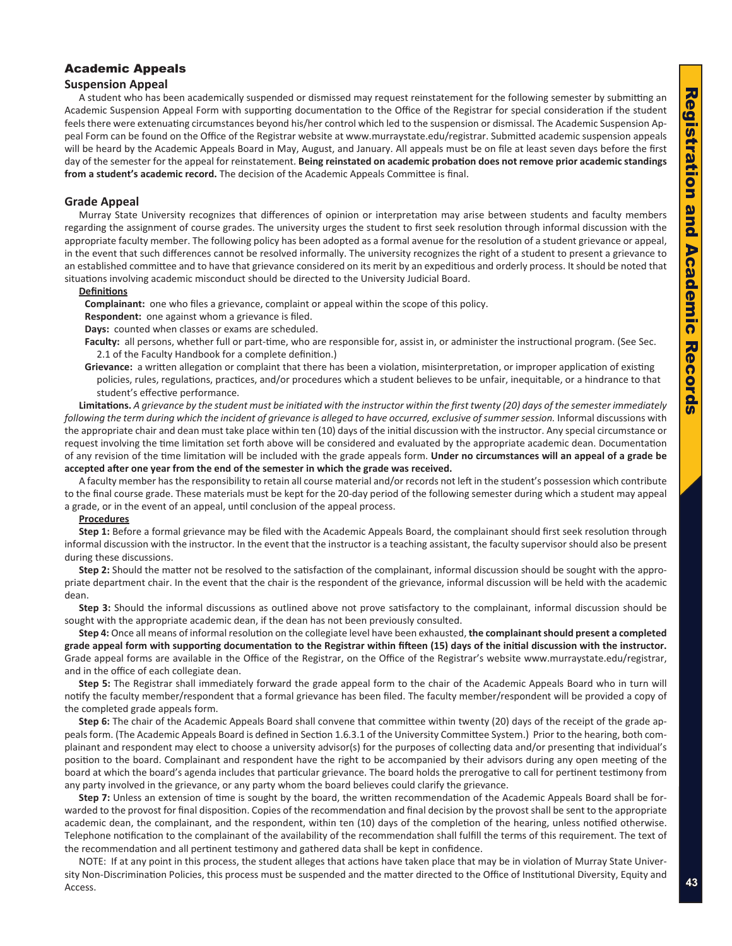# <span id="page-8-0"></span>Academic Appeals

# **Suspension Appeal**

A student who has been academically suspended or dismissed may request reinstatement for the following semester by submitting an Academic Suspension Appeal Form with supporting documentation to the Office of the Registrar for special consideration if the student feels there were extenuating circumstances beyond his/her control which led to the suspension or dismissal. The Academic Suspension Ap peal Form can be found on the Office of the Registrar website at www.murraystate.edu/registrar. Submitted academic suspension appeals will be heard by the Academic Appeals Board in May, August, and January. All appeals must be on file at least seven days before the first day of the semester for the appeal for reinstatement. **Being reinstated on academic probation does not remove prior academic standings from a student's academic record.** The decision of the Academic Appeals Committee is final.

# **Grade Appeal**

Murray State University recognizes that differences of opinion or interpretation may arise between students and faculty members regarding the assignment of course grades. The university urges the student to first seek resolution through informal discussion with the appropriate faculty member. The following policy has been adopted as a formal avenue for the resolution of a student grievance or appeal, in the event that such differences cannot be resolved informally. The university recognizes the right of a student to present a grievance to an established committee and to have that grievance considered on its merit by an expeditious and orderly process. It should be noted that situations involving academic misconduct should be directed to the University Judicial Board.

### **Definitions**

**Complainant:** one who files a grievance, complaint or appeal within the scope of this policy.

**Respondent:** one against whom a grievance is filed.

**Days:** counted when classes or exams are scheduled.

Faculty: all persons, whether full or part-time, who are responsible for, assist in, or administer the instructional program. (See Sec. 2.1 of the Faculty Handbook for a complete definition.)

**Grievance:** a written allegation or complaint that there has been a violation, misinterpretation, or improper application of existing policies, rules, regulations, practices, and/or procedures which a student believes to be unfair, inequitable, or a hindrance to that student's effective performance.

**Limitations.** *A grievance by the student must be initiated with the instructor within the first twenty (20) days of the semester immediately following the term during which the incident of grievance is alleged to have occurred, exclusive of summer session.* Informal discussions with the appropriate chair and dean must take place within ten (10) days of the initial discussion with the instructor. Any special circumstance or request involving the time limitation set forth above will be considered and evaluated by the appropriate academic dean. Documentation of any revision of the time limitation will be included with the grade appeals form. **Under no circumstances will an appeal of a grade be accepted after one year from the end of the semester in which the grade was received.**

A faculty member has the responsibility to retain all course material and/or records not left in the student's possession which contribute to the final course grade. These materials must be kept for the 20-day period of the following semester during which a student may appeal a grade, or in the event of an appeal, until conclusion of the appeal process.

# **Procedures**

**Step 1:** Before a formal grievance may be filed with the Academic Appeals Board, the complainant should first seek resolution through informal discussion with the instructor. In the event that the instructor is a teaching assistant, the faculty supervisor should also be present during these discussions.

Step 2: Should the matter not be resolved to the satisfaction of the complainant, informal discussion should be sought with the appropriate department chair. In the event that the chair is the respondent of the grievance, informal discussion will be held with the academic dean.

**Step 3:** Should the informal discussions as outlined above not prove satisfactory to the complainant, informal discussion should be sought with the appropriate academic dean, if the dean has not been previously consulted.

**Step 4:** Once all means of informal resolution on the collegiate level have been exhausted, **the complainant should present a completed grade appeal form with supporting documentation to the Registrar within fifteen (15) days of the initial discussion with the instructor.** Grade appeal forms are available in the Office of the Registrar, on the Office of the Registrar's website www.murraystate.edu/registrar, and in the office of each collegiate dean.

**Step 5:** The Registrar shall immediately forward the grade appeal form to the chair of the Academic Appeals Board who in turn will notify the faculty member/respondent that a formal grievance has been filed. The faculty member/respondent will be provided a copy of the completed grade appeals form.

Step 6: The chair of the Academic Appeals Board shall convene that committee within twenty (20) days of the receipt of the grade appeals form. (The Academic Appeals Board is defined in Section 1.6.3.1 of the University Committee System.) Prior to the hearing, both com plainant and respondent may elect to choose a university advisor(s) for the purposes of collecting data and/or presenting that individual's position to the board. Complainant and respondent have the right to be accompanied by their advisors during any open meeting of the board at which the board's agenda includes that particular grievance. The board holds the prerogative to call for pertinent testimony from any party involved in the grievance, or any party whom the board believes could clarify the grievance.

Step 7: Unless an extension of time is sought by the board, the written recommendation of the Academic Appeals Board shall be forwarded to the provost for final disposition. Copies of the recommendation and final decision by the provost shall be sent to the appropriate academic dean, the complainant, and the respondent, within ten (10) days of the completion of the hearing, unless notified otherwise. Telephone notification to the complainant of the availability of the recommendation shall fulfill the terms of this requirement. The text of the recommendation and all pertinent testimony and gathered data shall be kept in confidence.

NOTE: If at any point in this process, the student alleges that actions have taken place that may be in violation of Murray State Univer sity Non-Discrimination Policies, this process must be suspended and the matter directed to the Office of Institutional Diversity, Equity and Access.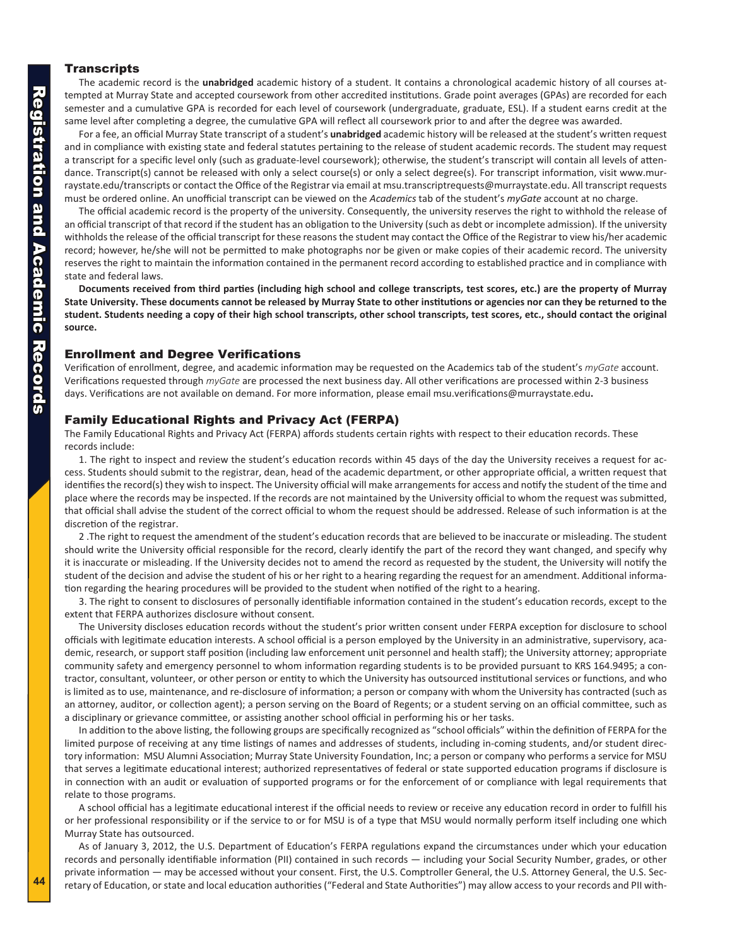# <span id="page-9-0"></span>**Transcripts**

The academic record is the **unabridged** academic history of a student. It contains a chronological academic history of all courses at tempted at Murray State and accepted coursework from other accredited institutions. Grade point averages (GPAs) are recorded for each semester and a cumulative GPA is recorded for each level of coursework (undergraduate, graduate, ESL). If a student earns credit at the same level after completing a degree, the cumulative GPA will reflect all coursework prior to and after the degree was awarded.

For a fee, an official Murray State transcript of a student's **unabridged** academic history will be released at the student's written request and in compliance with existing state and federal statutes pertaining to the release of student academic records. The student may request a transcript for a specific level only (such as graduate-level coursework); otherwise, the student's transcript will contain all levels of atten dance. Transcript(s) cannot be released with only a select course(s) or only a select degree(s). For transcript information, visit www.mur raystate.edu/transcripts or contact the Office of the Registrar via email at msu.transcriptrequests@murraystate.edu. All transcript requests must be ordered online. An unofficial transcript can be viewed on the *Academics* tab of the student's *myGate* account at no charge.

The official academic record is the property of the university. Consequently, the university reserves the right to withhold the release of an official transcript of that record if the student has an obligation to the University (such as debt or incomplete admission). If the university withholds the release of the official transcript for these reasons the student may contact the Office of the Registrar to view his/her academic record; however, he/she will not be permitted to make photographs nor be given or make copies of their academic record. The university reserves the right to maintain the information contained in the permanent record according to established practice and in compliance with state and federal laws.

**Documents received from third parties (including high school and college transcripts, test scores, etc.) are the property of Murray State University. These documents cannot be released by Murray State to other institutions or agencies nor can they be returned to the student. Students needing a copy of their high school transcripts, other school transcripts, test scores, etc., should contact the original source.**

# Enrollment and Degree Verifications

Verification of enrollment, degree, and academic information may be requested on the Academics tab of the student's *myGate* account. Verifications requested through *myGate* are processed the next business day. All other verifications are processed within 2-3 business days. Verifications are not available on demand. For more information, please email msu.verifications@murraystate.edu **.**

# Family Educational Rights and Privacy Act (FERPA)

The Family Educational Rights and Privacy Act (FERPA) affords students certain rights with respect to their education records. These records include:

1. The right to inspect and review the student's education records within 45 days of the day the University receives a request for ac cess. Students should submit to the registrar, dean, head of the academic department, or other appropriate official, a written request that identifies the record(s) they wish to inspect. The University official will make arrangements for access and notify the student of the time and place where the records may be inspected. If the records are not maintained by the University official to whom the request was submitted, that official shall advise the student of the correct official to whom the request should be addressed. Release of such information is at the discretion of the registrar.

2 .The right to request the amendment of the student's education records that are believed to be inaccurate or misleading. The student should write the University official responsible for the record, clearly identify the part of the record they want changed, and specify why it is inaccurate or misleading. If the University decides not to amend the record as requested by the student, the University will notify the student of the decision and advise the student of his or her right to a hearing regarding the request for an amendment. Additional informa tion regarding the hearing procedures will be provided to the student when notified of the right to a hearing.

3. The right to consent to disclosures of personally identifiable information contained in the student's education records, except to the extent that FERPA authorizes disclosure without consent.

The University discloses education records without the student's prior written consent under FERPA exception for disclosure to school officials with legitimate education interests. A school official is a person employed by the University in an administrative, supervisory, aca demic, research, or support staff position (including law enforcement unit personnel and health staff); the University attorney; appropriate community safety and emergency personnel to whom information regarding students is to be provided pursuant to KRS 164.9495; a con tractor, consultant, volunteer, or other person or entity to which the University has outsourced institutional services or functions, and who is limited as to use, maintenance, and re-disclosure of information; a person or company with whom the University has contracted (such as an attorney, auditor, or collection agent); a person serving on the Board of Regents; or a student serving on an official committee, such as a disciplinary or grievance committee, or assisting another school official in performing his or her tasks.

In addition to the above listing, the following groups are specifically recognized as "school officials" within the definition of FERPA for the limited purpose of receiving at any time listings of names and addresses of students, including in-coming students, and/or student direc tory information: MSU Alumni Association; Murray State University Foundation, Inc; a person or company who performs a service for MSU that serves a legitimate educational interest; authorized representatives of federal or state supported education programs if disclosure is in connection with an audit or evaluation of supported programs or for the enforcement of or compliance with legal requirements that relate to those programs.

A school official has a legitimate educational interest if the official needs to review or receive any education record in order to fulfill his or her professional responsibility or if the service to or for MSU is of a type that MSU would normally perform itself including one which Murray State has outsourced.

As of January 3, 2012, the U.S. Department of Education's FERPA regulations expand the circumstances under which your education records and personally identifiable information (PII) contained in such records — including your Social Security Number, grades, or other private information — may be accessed without your consent. First, the U.S. Comptroller General, the U.S. Attorney General, the U.S. Sec retary of Education, or state and local education authorities ("Federal and State Authorities") may allow access to your records and PII with -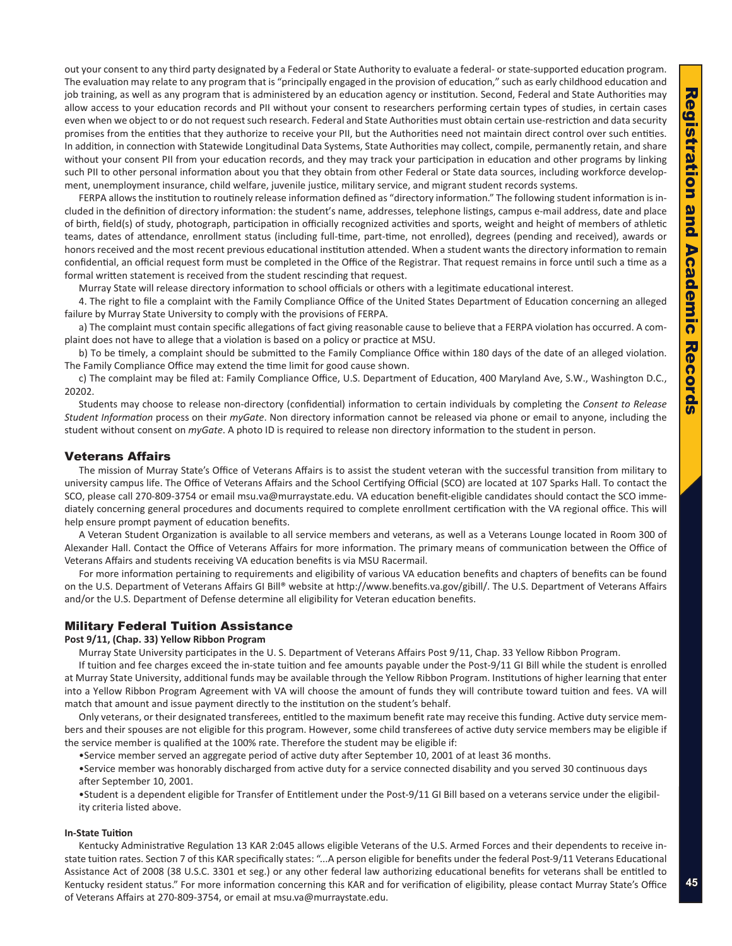<span id="page-10-0"></span>out your consent to any third party designated by a Federal or State Authority to evaluate a federal- or state-supported education program. The evaluation may relate to any program that is "principally engaged in the provision of education," such as early childhood education and job training, as well as any program that is administered by an education agency or institution. Second, Federal and State Authorities may allow access to your education records and PII without your consent to researchers performing certain types of studies, in certain cases even when we object to or do not request such research. Federal and State Authorities must obtain certain use-restriction and data security promises from the entities that they authorize to receive your PII, but the Authorities need not maintain direct control over such entities. In addition, in connection with Statewide Longitudinal Data Systems, State Authorities may collect, compile, permanently retain, and share without your consent PII from your education records, and they may track your participation in education and other programs by linking such PII to other personal information about you that they obtain from other Federal or State data sources, including workforce develop ment, unemployment insurance, child welfare, juvenile justice, military service, and migrant student records systems.

FERPA allows the institution to routinely release information defined as "directory information." The following student information is in cluded in the definition of directory information: the student's name, addresses, telephone listings, campus e-mail address, date and place of birth, field(s) of study, photograph, participation in officially recognized activities and sports, weight and height of members of athletic teams, dates of attendance, enrollment status (including full-time, part-time, not enrolled), degrees (pending and received), awards or honors received and the most recent previous educational institution attended. When a student wants the directory information to remain confidential, an official request form must be completed in the Office of the Registrar. That request remains in force until such a time as a formal written statement is received from the student rescinding that request.

Murray State will release directory information to school officials or others with a legitimate educational interest.

4. The right to file a complaint with the Family Compliance Office of the United States Department of Education concerning an alleged failure by Murray State University to comply with the provisions of FERPA.

a) The complaint must contain specific allegations of fact giving reasonable cause to believe that a FERPA violation has occurred. A com plaint does not have to allege that a violation is based on a policy or practice at MSU.

b) To be timely, a complaint should be submitted to the Family Compliance Office within 180 days of the date of an alleged violation. The Family Compliance Office may extend the time limit for good cause shown.

c) The complaint may be filed at: Family Compliance Office, U.S. Department of Education, 400 Maryland Ave, S.W., Washington D.C., 20202.

Students may choose to release non-directory (confidential) information to certain individuals by completing the *Consent to Release Student Information* process on their *myGate*. Non directory information cannot be released via phone or email to anyone, including the student without consent on *myGate*. A photo ID is required to release non directory information to the student in person.

# Veterans Affairs

The mission of Murray State's Office of Veterans Affairs is to assist the student veteran with the successful transition from military to university campus life. The Office of Veterans Affairs and the School Certifying Official (SCO) are located at 107 Sparks Hall. To contact the SCO, please call 270-809-3754 or email msu.va@murraystate.edu. VA education benefit-eligible candidates should contact the SCO imme diately concerning general procedures and documents required to complete enrollment certification with the VA regional office. This will help ensure prompt payment of education benefits.

A Veteran Student Organization is available to all service members and veterans, as well as a Veterans Lounge located in Room 300 of Alexander Hall. Contact the Office of Veterans Affairs for more information. The primary means of communication between the Office of Veterans Affairs and students receiving VA education benefits is via MSU Racermail.

For more information pertaining to requirements and eligibility of various VA education benefits and chapters of benefits can be found on the U.S. Department of Veterans Affairs GI Bill® website at http://www.benefits.va.gov/gibill/. The U.S. Department of Veterans Affairs and/or the U.S. Department of Defense determine all eligibility for Veteran education benefits.

# Military Federal Tuition Assistance

#### **Post 9/11, (Chap. 33) Yellow Ribbon Program**

Murray State University participates in the U. S. Department of Veterans Affairs Post 9/11, Chap. 33 Yellow Ribbon Program.

If tuition and fee charges exceed the in-state tuition and fee amounts payable under the Post-9/11 GI Bill while the student is enrolled at Murray State University, additional funds may be available through the Yellow Ribbon Program. Institutions of higher learning that enter into a Yellow Ribbon Program Agreement with VA will choose the amount of funds they will contribute toward tuition and fees. VA will match that amount and issue payment directly to the institution on the student's behalf.

Only veterans, or their designated transferees, entitled to the maximum benefit rate may receive this funding. Active duty service mem bers and their spouses are not eligible for this program. However, some child transferees of active duty service members may be eligible if the service member is qualified at the 100% rate. Therefore the student may be eligible if:

•Service member served an aggregate period of active duty after September 10, 2001 of at least 36 months.

•Service member was honorably discharged from active duty for a service connected disability and you served 30 continuous days after September 10, 2001.

•Student is a dependent eligible for Transfer of Entitlement under the Post-9/11 GI Bill based on a veterans service under the eligibil ity criteria listed above.

#### **In-State Tuition**

Kentucky Administrative Regulation 13 KAR 2:045 allows eligible Veterans of the U.S. Armed Forces and their dependents to receive instate tuition rates. Section 7 of this KAR specifically states: "...A person eligible for benefits under the federal Post-9/11 Veterans Educational Assistance Act of 2008 (38 U.S.C. 3301 et seg.) or any other federal law authorizing educational benefits for veterans shall be entitled to Kentucky resident status." For more information concerning this KAR and for verification of eligibility, please contact Murray State's Office of Veterans Affairs at 270-809-3754, or email at msu.va@murraystate.edu.